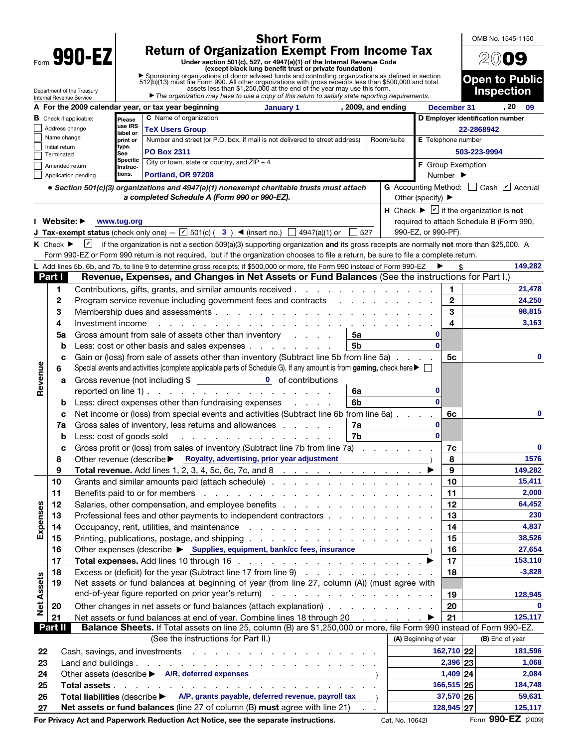|                                                                                                                                                                                 | <b>Short Form</b>                                                                                 |                                                                                                                                                                                                                                                                                                                                                                           |                                                                                                                                                                                                                                |                                                                                                                                          |  |     | OMB No. 1545-1150                |                              |                           |                                                                                      |                                     |  |  |
|---------------------------------------------------------------------------------------------------------------------------------------------------------------------------------|---------------------------------------------------------------------------------------------------|---------------------------------------------------------------------------------------------------------------------------------------------------------------------------------------------------------------------------------------------------------------------------------------------------------------------------------------------------------------------------|--------------------------------------------------------------------------------------------------------------------------------------------------------------------------------------------------------------------------------|------------------------------------------------------------------------------------------------------------------------------------------|--|-----|----------------------------------|------------------------------|---------------------------|--------------------------------------------------------------------------------------|-------------------------------------|--|--|
| 990-EZ                                                                                                                                                                          |                                                                                                   |                                                                                                                                                                                                                                                                                                                                                                           |                                                                                                                                                                                                                                | <b>Return of Organization Exempt From Income Tax</b>                                                                                     |  |     |                                  |                              |                           |                                                                                      |                                     |  |  |
|                                                                                                                                                                                 |                                                                                                   |                                                                                                                                                                                                                                                                                                                                                                           | Under section 501(c), 527, or 4947(a)(1) of the Internal Revenue Code<br>(except black lung benefit trust or private foundation)                                                                                               |                                                                                                                                          |  |     |                                  |                              |                           |                                                                                      |                                     |  |  |
|                                                                                                                                                                                 |                                                                                                   |                                                                                                                                                                                                                                                                                                                                                                           | ▶ Sponsoring organizations of donor advised funds and controlling organizations as defined in section 512(b)(13) must file Form 990. All other organizations with gross receipts less than \$500,000 and total assets less tha |                                                                                                                                          |  |     |                                  |                              |                           |                                                                                      | <b>Open to Public</b>               |  |  |
|                                                                                                                                                                                 |                                                                                                   |                                                                                                                                                                                                                                                                                                                                                                           |                                                                                                                                                                                                                                |                                                                                                                                          |  |     |                                  |                              |                           |                                                                                      | <b>Inspection</b>                   |  |  |
| Department of the Treasury<br>$\blacktriangleright$ The organization may have to use a copy of this return to satisfy state reporting requirements.<br>Internal Revenue Service |                                                                                                   |                                                                                                                                                                                                                                                                                                                                                                           |                                                                                                                                                                                                                                |                                                                                                                                          |  |     |                                  |                              |                           |                                                                                      |                                     |  |  |
|                                                                                                                                                                                 | A For the 2009 calendar year, or tax year beginning<br>, 2009, and ending<br>January 1            |                                                                                                                                                                                                                                                                                                                                                                           |                                                                                                                                                                                                                                |                                                                                                                                          |  |     | December 31                      |                              |                           | . 20<br>-09                                                                          |                                     |  |  |
|                                                                                                                                                                                 | C Name of organization<br><b>B</b> Check if applicable:<br>Please<br>use IRS                      |                                                                                                                                                                                                                                                                                                                                                                           |                                                                                                                                                                                                                                |                                                                                                                                          |  |     | D Employer identification number |                              |                           |                                                                                      |                                     |  |  |
|                                                                                                                                                                                 | Address change<br>Name change                                                                     |                                                                                                                                                                                                                                                                                                                                                                           | label or                                                                                                                                                                                                                       | <b>TeX Users Group</b>                                                                                                                   |  |     |                                  |                              |                           | 22-2868942                                                                           |                                     |  |  |
|                                                                                                                                                                                 | Initial return                                                                                    |                                                                                                                                                                                                                                                                                                                                                                           | print or<br>type.                                                                                                                                                                                                              | Number and street (or P.O. box, if mail is not delivered to street address)                                                              |  |     | Room/suite                       |                              | <b>E</b> Telephone number |                                                                                      |                                     |  |  |
|                                                                                                                                                                                 | Terminated                                                                                        |                                                                                                                                                                                                                                                                                                                                                                           | See<br>Specific                                                                                                                                                                                                                | <b>PO Box 2311</b><br>City or town, state or country, and $ZIP + 4$                                                                      |  |     |                                  |                              | 503-223-9994              |                                                                                      |                                     |  |  |
|                                                                                                                                                                                 | Amended return                                                                                    |                                                                                                                                                                                                                                                                                                                                                                           | Instruc-                                                                                                                                                                                                                       |                                                                                                                                          |  |     |                                  |                              | F Group Exemption         |                                                                                      |                                     |  |  |
|                                                                                                                                                                                 |                                                                                                   | Application pending                                                                                                                                                                                                                                                                                                                                                       | tions.                                                                                                                                                                                                                         | Portland, OR 97208                                                                                                                       |  |     |                                  | Number $\blacktriangleright$ |                           |                                                                                      |                                     |  |  |
|                                                                                                                                                                                 |                                                                                                   |                                                                                                                                                                                                                                                                                                                                                                           |                                                                                                                                                                                                                                | • Section 501(c)(3) organizations and 4947(a)(1) nonexempt charitable trusts must attach<br>a completed Schedule A (Form 990 or 990-EZ). |  |     |                                  | Other (specify) ▶            |                           |                                                                                      | G Accounting Method: Cash 2 Accrual |  |  |
|                                                                                                                                                                                 |                                                                                                   |                                                                                                                                                                                                                                                                                                                                                                           |                                                                                                                                                                                                                                |                                                                                                                                          |  |     |                                  |                              |                           | H Check $\blacktriangleright \blacktriangleright \square$ if the organization is not |                                     |  |  |
|                                                                                                                                                                                 | Website: ▶                                                                                        |                                                                                                                                                                                                                                                                                                                                                                           | www.tug.org                                                                                                                                                                                                                    |                                                                                                                                          |  |     |                                  |                              |                           | required to attach Schedule B (Form 990,                                             |                                     |  |  |
|                                                                                                                                                                                 |                                                                                                   |                                                                                                                                                                                                                                                                                                                                                                           |                                                                                                                                                                                                                                | <b>J Tax-exempt status</b> (check only one) – $\boxed{v}$ 501(c) (3) <b>(a</b> (insert no.) $\boxed{\phantom{0}}$ 4947(a)(1) or          |  | 527 |                                  | 990-EZ, or 990-PF).          |                           |                                                                                      |                                     |  |  |
|                                                                                                                                                                                 | $K$ Check $\blacktriangleright$                                                                   | $ \mathbf{v} $                                                                                                                                                                                                                                                                                                                                                            |                                                                                                                                                                                                                                | if the organization is not a section 509(a)(3) supporting organization and its gross receipts are normally not more than \$25,000. A     |  |     |                                  |                              |                           |                                                                                      |                                     |  |  |
|                                                                                                                                                                                 |                                                                                                   |                                                                                                                                                                                                                                                                                                                                                                           |                                                                                                                                                                                                                                | Form 990-EZ or Form 990 return is not required, but if the organization chooses to file a return, be sure to file a complete return.     |  |     |                                  |                              |                           |                                                                                      |                                     |  |  |
|                                                                                                                                                                                 |                                                                                                   |                                                                                                                                                                                                                                                                                                                                                                           |                                                                                                                                                                                                                                | Add lines 5b, 6b, and 7b, to line 9 to determine gross receipts; if \$500,000 or more, file Form 990 instead of Form 990-EZ              |  |     |                                  |                              |                           |                                                                                      | 149,282                             |  |  |
|                                                                                                                                                                                 | Part I                                                                                            |                                                                                                                                                                                                                                                                                                                                                                           |                                                                                                                                                                                                                                | Revenue, Expenses, and Changes in Net Assets or Fund Balances (See the instructions for Part I.)                                         |  |     |                                  |                              |                           |                                                                                      |                                     |  |  |
|                                                                                                                                                                                 | 1                                                                                                 |                                                                                                                                                                                                                                                                                                                                                                           |                                                                                                                                                                                                                                | Contributions, gifts, grants, and similar amounts received                                                                               |  |     |                                  |                              | 1                         |                                                                                      | 21,478                              |  |  |
|                                                                                                                                                                                 | 2                                                                                                 |                                                                                                                                                                                                                                                                                                                                                                           |                                                                                                                                                                                                                                | Program service revenue including government fees and contracts                                                                          |  |     |                                  |                              | $\mathbf{2}$              |                                                                                      | 24,250                              |  |  |
|                                                                                                                                                                                 | 3                                                                                                 |                                                                                                                                                                                                                                                                                                                                                                           |                                                                                                                                                                                                                                |                                                                                                                                          |  |     |                                  |                              | 3                         |                                                                                      | 98,815                              |  |  |
|                                                                                                                                                                                 | 4                                                                                                 | Investment income                                                                                                                                                                                                                                                                                                                                                         |                                                                                                                                                                                                                                |                                                                                                                                          |  |     |                                  |                              | 4                         |                                                                                      | 3,163                               |  |  |
|                                                                                                                                                                                 | 5a                                                                                                | Gross amount from sale of assets other than inventory<br>0<br>5a<br>$\Omega$<br>5b<br>b<br>Less: cost or other basis and sales expenses<br>Gain or (loss) from sale of assets other than inventory (Subtract line 5b from line 5a)<br>5с<br>C<br>Special events and activities (complete applicable parts of Schedule G). If any amount is from gaming, check here ▶<br>6 |                                                                                                                                                                                                                                |                                                                                                                                          |  |     |                                  |                              |                           |                                                                                      |                                     |  |  |
|                                                                                                                                                                                 |                                                                                                   |                                                                                                                                                                                                                                                                                                                                                                           |                                                                                                                                                                                                                                |                                                                                                                                          |  |     |                                  |                              |                           |                                                                                      |                                     |  |  |
|                                                                                                                                                                                 |                                                                                                   |                                                                                                                                                                                                                                                                                                                                                                           |                                                                                                                                                                                                                                |                                                                                                                                          |  |     |                                  |                              |                           |                                                                                      | 0                                   |  |  |
| Revenue                                                                                                                                                                         |                                                                                                   |                                                                                                                                                                                                                                                                                                                                                                           |                                                                                                                                                                                                                                |                                                                                                                                          |  |     |                                  |                              |                           |                                                                                      |                                     |  |  |
|                                                                                                                                                                                 | a                                                                                                 | 0<br>reported on line 1) $\ldots$ $\ldots$ $\ldots$ $\ldots$ $\ldots$ $\ldots$ $\ldots$<br>6a                                                                                                                                                                                                                                                                             |                                                                                                                                                                                                                                |                                                                                                                                          |  |     |                                  |                              |                           |                                                                                      |                                     |  |  |
|                                                                                                                                                                                 | b                                                                                                 |                                                                                                                                                                                                                                                                                                                                                                           | $\Omega$<br>6 <sub>b</sub><br>Less: direct expenses other than fundraising expenses                                                                                                                                            |                                                                                                                                          |  |     |                                  |                              |                           |                                                                                      |                                     |  |  |
|                                                                                                                                                                                 | С                                                                                                 |                                                                                                                                                                                                                                                                                                                                                                           |                                                                                                                                                                                                                                | Net income or (loss) from special events and activities (Subtract line 6b from line 6a).                                                 |  |     |                                  |                              | 6с                        | 0                                                                                    |                                     |  |  |
|                                                                                                                                                                                 | 7a                                                                                                |                                                                                                                                                                                                                                                                                                                                                                           |                                                                                                                                                                                                                                | Gross sales of inventory, less returns and allowances                                                                                    |  | 7a  |                                  | 0                            |                           |                                                                                      |                                     |  |  |
|                                                                                                                                                                                 | b                                                                                                 | Less: cost of goods sold                                                                                                                                                                                                                                                                                                                                                  |                                                                                                                                                                                                                                | $\mathbf{r} = \mathbf{r} + \mathbf{r} + \mathbf{r}$                                                                                      |  | 7b  |                                  | $\mathbf{0}$                 |                           |                                                                                      |                                     |  |  |
|                                                                                                                                                                                 | с                                                                                                 |                                                                                                                                                                                                                                                                                                                                                                           |                                                                                                                                                                                                                                | Gross profit or (loss) from sales of inventory (Subtract line 7b from line 7a).                                                          |  |     |                                  |                              | 7c                        | 0                                                                                    |                                     |  |  |
|                                                                                                                                                                                 | 8                                                                                                 |                                                                                                                                                                                                                                                                                                                                                                           |                                                                                                                                                                                                                                | Other revenue (describe > Royalty, advertising, prior year adjustment                                                                    |  |     |                                  |                              | 8                         |                                                                                      | 1576                                |  |  |
|                                                                                                                                                                                 | 9                                                                                                 |                                                                                                                                                                                                                                                                                                                                                                           | <b>Total revenue.</b> Add lines 1, 2, 3, 4, 5c, 6c, 7c, and 8 $\ldots$ $\ldots$ $\ldots$ $\ldots$ $\ldots$                                                                                                                     |                                                                                                                                          |  |     |                                  |                              | 9                         |                                                                                      | 149,282                             |  |  |
|                                                                                                                                                                                 | 10                                                                                                |                                                                                                                                                                                                                                                                                                                                                                           |                                                                                                                                                                                                                                |                                                                                                                                          |  |     |                                  |                              | 10                        |                                                                                      | 15,411                              |  |  |
|                                                                                                                                                                                 | 11                                                                                                | Benefits paid to or for members enters and the content of the content of the content of the content of the content of the content of the content of the content of the content of the content of the content of the content of                                                                                                                                            |                                                                                                                                                                                                                                |                                                                                                                                          |  |     |                                  |                              | 11                        |                                                                                      | 2,000                               |  |  |
|                                                                                                                                                                                 | 12                                                                                                |                                                                                                                                                                                                                                                                                                                                                                           |                                                                                                                                                                                                                                |                                                                                                                                          |  |     |                                  |                              | 12                        |                                                                                      | 64,452                              |  |  |
| Expenses                                                                                                                                                                        | 13                                                                                                |                                                                                                                                                                                                                                                                                                                                                                           | Professional fees and other payments to independent contractors                                                                                                                                                                |                                                                                                                                          |  |     |                                  |                              | 13                        |                                                                                      | 230                                 |  |  |
|                                                                                                                                                                                 | 14                                                                                                |                                                                                                                                                                                                                                                                                                                                                                           |                                                                                                                                                                                                                                |                                                                                                                                          |  |     |                                  |                              | 14                        |                                                                                      | 4,837                               |  |  |
|                                                                                                                                                                                 | 15                                                                                                |                                                                                                                                                                                                                                                                                                                                                                           |                                                                                                                                                                                                                                |                                                                                                                                          |  |     |                                  |                              | 15                        |                                                                                      | 38,526                              |  |  |
|                                                                                                                                                                                 | 16                                                                                                |                                                                                                                                                                                                                                                                                                                                                                           | Other expenses (describe ▶ Supplies, equipment, bank/cc fees, insurance                                                                                                                                                        |                                                                                                                                          |  |     |                                  |                              | 16                        |                                                                                      | 27,654                              |  |  |
|                                                                                                                                                                                 | 17                                                                                                |                                                                                                                                                                                                                                                                                                                                                                           |                                                                                                                                                                                                                                |                                                                                                                                          |  |     |                                  |                              | 17                        |                                                                                      | 153,110                             |  |  |
|                                                                                                                                                                                 | 18                                                                                                | Excess or (deficit) for the year (Subtract line 17 from line 9)                                                                                                                                                                                                                                                                                                           |                                                                                                                                                                                                                                |                                                                                                                                          |  |     |                                  |                              | 18                        |                                                                                      | $-3,828$                            |  |  |
| <b>Net Assets</b>                                                                                                                                                               | 19                                                                                                | Net assets or fund balances at beginning of year (from line 27, column (A)) (must agree with                                                                                                                                                                                                                                                                              |                                                                                                                                                                                                                                |                                                                                                                                          |  |     |                                  |                              |                           |                                                                                      |                                     |  |  |
|                                                                                                                                                                                 |                                                                                                   | end-of-year figure reported on prior year's return)                                                                                                                                                                                                                                                                                                                       |                                                                                                                                                                                                                                |                                                                                                                                          |  |     |                                  | 19                           |                           | 128,945                                                                              |                                     |  |  |
|                                                                                                                                                                                 | 20                                                                                                | Other changes in net assets or fund balances (attach explanation)                                                                                                                                                                                                                                                                                                         |                                                                                                                                                                                                                                |                                                                                                                                          |  |     |                                  |                              | 20                        |                                                                                      | 0                                   |  |  |
|                                                                                                                                                                                 | 21                                                                                                | Net assets or fund balances at end of year. Combine lines 18 through 20<br>Balance Sheets. If Total assets on line 25, column (B) are \$1,250,000 or more, file Form 990 instead of Form 990-EZ.                                                                                                                                                                          |                                                                                                                                                                                                                                |                                                                                                                                          |  |     |                                  |                              | 21                        |                                                                                      | 125,117                             |  |  |
|                                                                                                                                                                                 | Part II                                                                                           |                                                                                                                                                                                                                                                                                                                                                                           |                                                                                                                                                                                                                                |                                                                                                                                          |  |     |                                  |                              |                           |                                                                                      |                                     |  |  |
|                                                                                                                                                                                 |                                                                                                   |                                                                                                                                                                                                                                                                                                                                                                           |                                                                                                                                                                                                                                | (See the instructions for Part II.)                                                                                                      |  |     |                                  | (A) Beginning of year        |                           |                                                                                      | (B) End of year                     |  |  |
| 22                                                                                                                                                                              |                                                                                                   |                                                                                                                                                                                                                                                                                                                                                                           |                                                                                                                                                                                                                                |                                                                                                                                          |  |     |                                  | 162,710 22                   |                           | 181,596                                                                              |                                     |  |  |
| 23                                                                                                                                                                              |                                                                                                   |                                                                                                                                                                                                                                                                                                                                                                           |                                                                                                                                                                                                                                |                                                                                                                                          |  |     |                                  | $2,396$ 23                   |                           | 1,068<br>2,084                                                                       |                                     |  |  |
| 24<br>25                                                                                                                                                                        |                                                                                                   | Other assets (describe $\blacktriangleright$ A/R, deferred expenses )                                                                                                                                                                                                                                                                                                     |                                                                                                                                                                                                                                |                                                                                                                                          |  |     |                                  | $1,409$ 24<br>166,515 25     |                           | 184,748                                                                              |                                     |  |  |
| 26                                                                                                                                                                              | Total assets.<br>Total liabilities (describe > A/P, grants payable, deferred revenue, payroll tax |                                                                                                                                                                                                                                                                                                                                                                           |                                                                                                                                                                                                                                |                                                                                                                                          |  |     |                                  | 59,631                       |                           |                                                                                      |                                     |  |  |
| 37,570 26<br>Net assets or fund balances (line 27 of column (B) must agree with line 21)<br>128,945 27<br>27                                                                    |                                                                                                   |                                                                                                                                                                                                                                                                                                                                                                           |                                                                                                                                                                                                                                |                                                                                                                                          |  |     | 125,117                          |                              |                           |                                                                                      |                                     |  |  |
|                                                                                                                                                                                 |                                                                                                   |                                                                                                                                                                                                                                                                                                                                                                           |                                                                                                                                                                                                                                |                                                                                                                                          |  |     |                                  |                              |                           |                                                                                      |                                     |  |  |

**For Privacy Act and Paperwork Reduction Act Notice, see the separate instructions.** Cat. No. 10642I Form **990-EZ** (2009)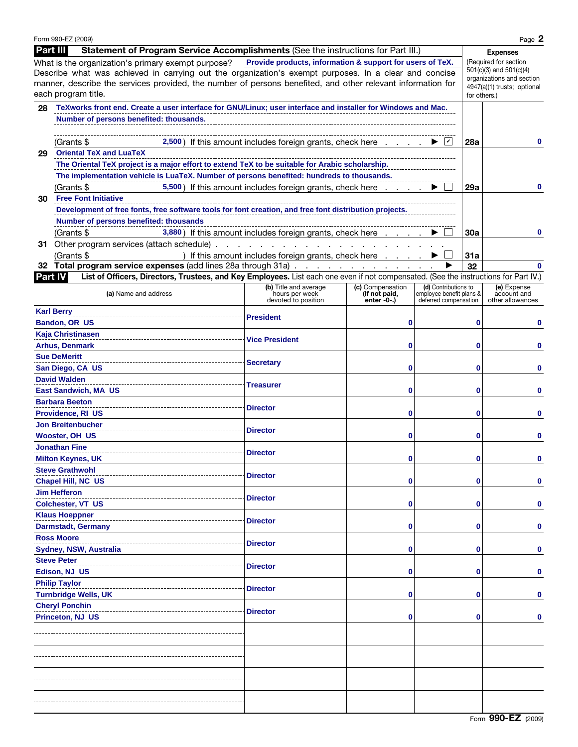|                                                                                                       | Form 990-EZ (2009)                                                                                                                                                                           |                                                                                                          |                  |                          |                                                          | Page 2           |  |  |  |
|-------------------------------------------------------------------------------------------------------|----------------------------------------------------------------------------------------------------------------------------------------------------------------------------------------------|----------------------------------------------------------------------------------------------------------|------------------|--------------------------|----------------------------------------------------------|------------------|--|--|--|
| Part III                                                                                              | Statement of Program Service Accomplishments (See the instructions for Part III.)                                                                                                            |                                                                                                          |                  |                          |                                                          | <b>Expenses</b>  |  |  |  |
|                                                                                                       | What is the organization's primary exempt purpose?                                                                                                                                           | Provide products, information & support for users of TeX.                                                |                  |                          | (Required for section                                    |                  |  |  |  |
| Describe what was achieved in carrying out the organization's exempt purposes. In a clear and concise | $501(c)(3)$ and $501(c)(4)$                                                                                                                                                                  |                                                                                                          |                  |                          |                                                          |                  |  |  |  |
|                                                                                                       | manner, describe the services provided, the number of persons benefited, and other relevant information for                                                                                  |                                                                                                          |                  |                          | organizations and section<br>4947(a)(1) trusts; optional |                  |  |  |  |
|                                                                                                       | each program title.                                                                                                                                                                          |                                                                                                          |                  |                          |                                                          | for others.)     |  |  |  |
| 28                                                                                                    | TeXworks front end. Create a user interface for GNU/Linux; user interface and installer for Windows and Mac.                                                                                 |                                                                                                          |                  |                          |                                                          |                  |  |  |  |
|                                                                                                       |                                                                                                                                                                                              |                                                                                                          |                  |                          |                                                          |                  |  |  |  |
|                                                                                                       | Number of persons benefited: thousands.                                                                                                                                                      |                                                                                                          |                  |                          |                                                          |                  |  |  |  |
|                                                                                                       |                                                                                                                                                                                              |                                                                                                          |                  |                          |                                                          |                  |  |  |  |
|                                                                                                       | (Grants \$                                                                                                                                                                                   | 2,500) If this amount includes foreign grants, check here $\ldots$ $\ldots$ $\blacktriangleright$ $\Box$ |                  |                          | <b>28a</b>                                               | $\bf{0}$         |  |  |  |
| 29                                                                                                    | <b>Oriental TeX and LuaTeX</b>                                                                                                                                                               |                                                                                                          |                  |                          |                                                          |                  |  |  |  |
|                                                                                                       |                                                                                                                                                                                              |                                                                                                          |                  |                          |                                                          |                  |  |  |  |
|                                                                                                       | The Oriental TeX project is a major effort to extend TeX to be suitable for Arabic scholarship.<br>The implementation vehicle is LuaTeX. Number of persons benefited: hundreds to thousands. |                                                                                                          |                  |                          |                                                          |                  |  |  |  |
|                                                                                                       | (Grants \$<br>5,500) If this amount includes foreign grants, check here                                                                                                                      | 29a                                                                                                      | 0                |                          |                                                          |                  |  |  |  |
| 30                                                                                                    | <b>Free Font Initiative</b>                                                                                                                                                                  |                                                                                                          |                  |                          |                                                          |                  |  |  |  |
|                                                                                                       | Development of free fonts, free software tools for font creation, and free font distribution projects.                                                                                       |                                                                                                          |                  |                          |                                                          |                  |  |  |  |
|                                                                                                       | Number of persons benefited: thousands                                                                                                                                                       |                                                                                                          |                  |                          |                                                          |                  |  |  |  |
|                                                                                                       | (Grants \$                                                                                                                                                                                   | 3,880) If this amount includes foreign grants, check here                                                |                  |                          | 30a                                                      |                  |  |  |  |
|                                                                                                       |                                                                                                                                                                                              |                                                                                                          |                  |                          |                                                          |                  |  |  |  |
|                                                                                                       | (Grants \$                                                                                                                                                                                   | ) If this amount includes foreign grants, check here                                                     |                  |                          | 31a                                                      |                  |  |  |  |
|                                                                                                       | 32 Total program service expenses (add lines 28a through 31a)                                                                                                                                |                                                                                                          |                  |                          | 32                                                       |                  |  |  |  |
| <b>Part IV</b>                                                                                        | List of Officers, Directors, Trustees, and Key Employees. List each one even if not compensated. (See the instructions for Part IV.)                                                         |                                                                                                          |                  |                          |                                                          |                  |  |  |  |
|                                                                                                       |                                                                                                                                                                                              | (b) Title and average                                                                                    | (c) Compensation | (d) Contributions to     |                                                          | (e) Expense      |  |  |  |
|                                                                                                       | (a) Name and address                                                                                                                                                                         | hours per week                                                                                           | (If not paid,    | employee benefit plans & |                                                          | account and      |  |  |  |
|                                                                                                       |                                                                                                                                                                                              | devoted to position                                                                                      | $enter -0$ -.)   | deferred compensation    |                                                          | other allowances |  |  |  |
|                                                                                                       | <b>Karl Berry</b>                                                                                                                                                                            | <b>President</b>                                                                                         |                  |                          |                                                          |                  |  |  |  |
|                                                                                                       | Bandon, OR US                                                                                                                                                                                |                                                                                                          | 0                |                          | 0                                                        |                  |  |  |  |
|                                                                                                       | <b>Kaja Christinasen</b>                                                                                                                                                                     | <b>Vice President</b>                                                                                    |                  |                          |                                                          |                  |  |  |  |
|                                                                                                       | <b>Arhus, Denmark</b>                                                                                                                                                                        |                                                                                                          | 0                |                          | 0                                                        |                  |  |  |  |
|                                                                                                       | <b>Sue DeMeritt</b>                                                                                                                                                                          | <b>Secretary</b>                                                                                         |                  |                          |                                                          |                  |  |  |  |
|                                                                                                       | San Diego, CA US                                                                                                                                                                             |                                                                                                          | 0                | 0                        |                                                          |                  |  |  |  |
|                                                                                                       | <b>David Walden</b>                                                                                                                                                                          |                                                                                                          |                  |                          |                                                          |                  |  |  |  |
|                                                                                                       | <b>East Sandwich, MA US</b>                                                                                                                                                                  | <b>Treasurer</b>                                                                                         | 0                |                          | 0                                                        |                  |  |  |  |
|                                                                                                       | <b>Barbara Beeton</b>                                                                                                                                                                        |                                                                                                          |                  |                          |                                                          |                  |  |  |  |
|                                                                                                       | <b>Providence, RI US</b>                                                                                                                                                                     | <b>Director</b>                                                                                          | 0                |                          | 0                                                        |                  |  |  |  |
|                                                                                                       | <b>Jon Breitenbucher</b>                                                                                                                                                                     |                                                                                                          |                  |                          |                                                          |                  |  |  |  |
|                                                                                                       | <b>Wooster, OH US</b>                                                                                                                                                                        | <b>Director</b>                                                                                          | 0                |                          | 0                                                        |                  |  |  |  |
|                                                                                                       |                                                                                                                                                                                              |                                                                                                          |                  |                          |                                                          |                  |  |  |  |
|                                                                                                       | Jonathan Fine                                                                                                                                                                                | <b>Director</b>                                                                                          |                  |                          |                                                          |                  |  |  |  |
|                                                                                                       | <b>Milton Keynes, UK</b>                                                                                                                                                                     |                                                                                                          |                  |                          |                                                          |                  |  |  |  |
|                                                                                                       | <b>Steve Grathwohl</b>                                                                                                                                                                       | <b>Director</b>                                                                                          |                  |                          |                                                          |                  |  |  |  |
|                                                                                                       | <b>Chapel Hill, NC US</b>                                                                                                                                                                    |                                                                                                          | 0                |                          | 0                                                        |                  |  |  |  |
|                                                                                                       | <b>Jim Hefferon</b>                                                                                                                                                                          | <b>Director</b>                                                                                          |                  |                          |                                                          |                  |  |  |  |
|                                                                                                       | Colchester, VT US                                                                                                                                                                            |                                                                                                          | Ω                |                          | 0                                                        |                  |  |  |  |
|                                                                                                       | <b>Klaus Hoeppner</b>                                                                                                                                                                        | <b>Director</b>                                                                                          |                  |                          |                                                          |                  |  |  |  |
|                                                                                                       | <b>Darmstadt, Germany</b>                                                                                                                                                                    | Ω                                                                                                        |                  |                          | 0                                                        |                  |  |  |  |
|                                                                                                       | <b>Ross Moore</b>                                                                                                                                                                            |                                                                                                          |                  |                          |                                                          |                  |  |  |  |
|                                                                                                       | Sydney, NSW, Australia                                                                                                                                                                       | <b>Director</b>                                                                                          | Ω                |                          | 0                                                        |                  |  |  |  |
|                                                                                                       | <b>Steve Peter</b>                                                                                                                                                                           |                                                                                                          |                  |                          |                                                          |                  |  |  |  |
|                                                                                                       | Edison, NJ US                                                                                                                                                                                | <b>Director</b>                                                                                          | Ω                |                          | 0                                                        |                  |  |  |  |
|                                                                                                       | <b>Philip Taylor</b>                                                                                                                                                                         |                                                                                                          |                  |                          |                                                          |                  |  |  |  |
|                                                                                                       | <b>Turnbridge Wells, UK</b>                                                                                                                                                                  | <b>Director</b>                                                                                          | Ω                |                          | 0                                                        |                  |  |  |  |
|                                                                                                       | <b>Cheryl Ponchin</b>                                                                                                                                                                        |                                                                                                          |                  |                          |                                                          |                  |  |  |  |
|                                                                                                       | <b>Princeton, NJ US</b>                                                                                                                                                                      | <b>Director</b>                                                                                          | Ω                |                          | 0                                                        |                  |  |  |  |
|                                                                                                       |                                                                                                                                                                                              |                                                                                                          |                  |                          |                                                          |                  |  |  |  |
|                                                                                                       |                                                                                                                                                                                              |                                                                                                          |                  |                          |                                                          |                  |  |  |  |
|                                                                                                       |                                                                                                                                                                                              |                                                                                                          |                  |                          |                                                          |                  |  |  |  |
|                                                                                                       |                                                                                                                                                                                              |                                                                                                          |                  |                          |                                                          |                  |  |  |  |
|                                                                                                       |                                                                                                                                                                                              |                                                                                                          |                  |                          |                                                          |                  |  |  |  |
|                                                                                                       |                                                                                                                                                                                              |                                                                                                          |                  |                          |                                                          |                  |  |  |  |
|                                                                                                       |                                                                                                                                                                                              |                                                                                                          |                  |                          |                                                          |                  |  |  |  |
|                                                                                                       |                                                                                                                                                                                              |                                                                                                          |                  |                          |                                                          |                  |  |  |  |
|                                                                                                       |                                                                                                                                                                                              |                                                                                                          |                  |                          |                                                          |                  |  |  |  |
|                                                                                                       |                                                                                                                                                                                              |                                                                                                          |                  |                          |                                                          |                  |  |  |  |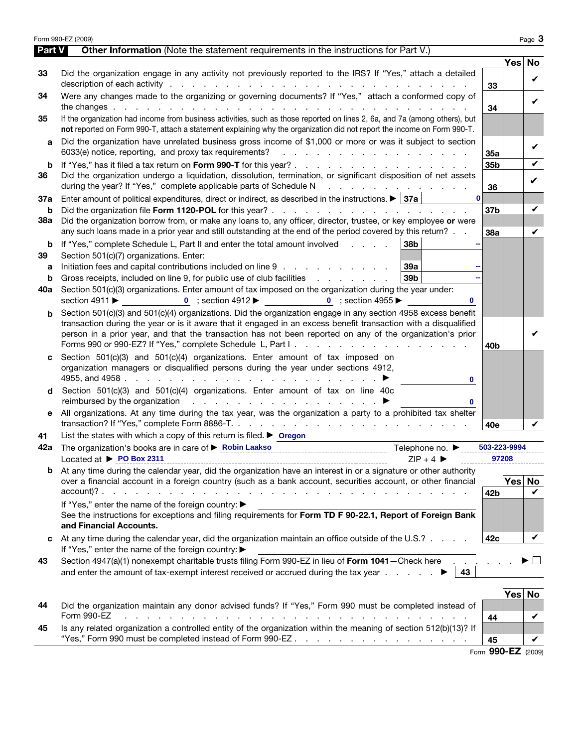|          | Form 990-EZ (2009)                                                                                                                                                                                                                                                                                                                                                                                    |                    |            | Page 3  |  |  |  |
|----------|-------------------------------------------------------------------------------------------------------------------------------------------------------------------------------------------------------------------------------------------------------------------------------------------------------------------------------------------------------------------------------------------------------|--------------------|------------|---------|--|--|--|
| Part V   | <b>Other Information</b> (Note the statement requirements in the instructions for Part V.)                                                                                                                                                                                                                                                                                                            |                    | Yes No     |         |  |  |  |
| 33       | Did the organization engage in any activity not previously reported to the IRS? If "Yes," attach a detailed                                                                                                                                                                                                                                                                                           |                    |            |         |  |  |  |
|          | description of each activity respectively and the contract of the contract of the contract of the contract of the contract of the contract of the contract of the contract of the contract of the contract of the contract of                                                                                                                                                                         | 33                 |            | V       |  |  |  |
| 34       | Were any changes made to the organizing or governing documents? If "Yes," attach a conformed copy of                                                                                                                                                                                                                                                                                                  |                    |            |         |  |  |  |
|          |                                                                                                                                                                                                                                                                                                                                                                                                       | 34                 |            | ✓       |  |  |  |
| 35       | If the organization had income from business activities, such as those reported on lines 2, 6a, and 7a (among others), but                                                                                                                                                                                                                                                                            |                    |            |         |  |  |  |
|          | not reported on Form 990-T, attach a statement explaining why the organization did not report the income on Form 990-T.                                                                                                                                                                                                                                                                               |                    |            |         |  |  |  |
| a        | Did the organization have unrelated business gross income of \$1,000 or more or was it subject to section<br>6033(e) notice, reporting, and proxy tax requirements?<br>and the contract of the contract of the contract of the contract of the contract of the contract of the contract of the contract of the contract of the contract of the contract of the contract of the contract of the contra |                    |            | V       |  |  |  |
| b        |                                                                                                                                                                                                                                                                                                                                                                                                       | 35a<br>35b         |            | V       |  |  |  |
| 36       | Did the organization undergo a liquidation, dissolution, termination, or significant disposition of net assets                                                                                                                                                                                                                                                                                        |                    |            | V       |  |  |  |
|          | during the year? If "Yes," complete applicable parts of Schedule N<br>the contract of the contract of the                                                                                                                                                                                                                                                                                             |                    |            |         |  |  |  |
| 37a      | $\mathbf 0$<br>Enter amount of political expenditures, direct or indirect, as described in the instructions. $\blacktriangleright$ 37a                                                                                                                                                                                                                                                                | 36                 |            |         |  |  |  |
| b        |                                                                                                                                                                                                                                                                                                                                                                                                       | 37b                |            | V       |  |  |  |
| 38a      | Did the organization borrow from, or make any loans to, any officer, director, trustee, or key employee or were                                                                                                                                                                                                                                                                                       |                    |            |         |  |  |  |
|          | any such loans made in a prior year and still outstanding at the end of the period covered by this return?                                                                                                                                                                                                                                                                                            | 38a                |            | V       |  |  |  |
| b        | If "Yes," complete Schedule L, Part II and enter the total amount involved<br>38b                                                                                                                                                                                                                                                                                                                     |                    |            |         |  |  |  |
| 39       | Section 501(c)(7) organizations. Enter:                                                                                                                                                                                                                                                                                                                                                               |                    |            |         |  |  |  |
| а        | Initiation fees and capital contributions included on line 9<br>39а<br>39 <sub>b</sub><br>Gross receipts, included on line 9, for public use of club facilities                                                                                                                                                                                                                                       |                    |            |         |  |  |  |
| b<br>40a | Section 501(c)(3) organizations. Enter amount of tax imposed on the organization during the year under:                                                                                                                                                                                                                                                                                               |                    |            |         |  |  |  |
|          | 0 ; section 4912 $\blacktriangleright$ 0 ; section 4955 $\blacktriangleright$<br>section 4911 ▶                                                                                                                                                                                                                                                                                                       |                    |            |         |  |  |  |
|          | Section 501(c)(3) and 501(c)(4) organizations. Did the organization engage in any section 4958 excess benefit                                                                                                                                                                                                                                                                                         |                    |            |         |  |  |  |
|          | transaction during the year or is it aware that it engaged in an excess benefit transaction with a disqualified                                                                                                                                                                                                                                                                                       |                    |            |         |  |  |  |
|          | person in a prior year, and that the transaction has not been reported on any of the organization's prior                                                                                                                                                                                                                                                                                             |                    |            |         |  |  |  |
|          |                                                                                                                                                                                                                                                                                                                                                                                                       | 40b                |            |         |  |  |  |
|          | Section 501(c)(3) and 501(c)(4) organizations. Enter amount of tax imposed on                                                                                                                                                                                                                                                                                                                         |                    |            |         |  |  |  |
|          | organization managers or disqualified persons during the year under sections 4912,                                                                                                                                                                                                                                                                                                                    |                    |            |         |  |  |  |
|          | 0<br>Section 501(c)(3) and 501(c)(4) organizations. Enter amount of tax on line 40c                                                                                                                                                                                                                                                                                                                   |                    |            |         |  |  |  |
|          | reimbursed by the organization $\qquad \qquad \ldots \qquad \qquad \ldots$<br>0                                                                                                                                                                                                                                                                                                                       |                    |            |         |  |  |  |
| е        | All organizations. At any time during the tax year, was the organization a party to a prohibited tax shelter                                                                                                                                                                                                                                                                                          |                    |            |         |  |  |  |
|          |                                                                                                                                                                                                                                                                                                                                                                                                       | 40e                |            |         |  |  |  |
| 41       | List the states with which a copy of this return is filed. $\triangleright$ Oregon                                                                                                                                                                                                                                                                                                                    |                    |            |         |  |  |  |
| 42a      | The organization's books are in care of <b>&gt; Robin Laakso</b> extensional contract the organization's books are in care of <b>&gt; Robin Laakso</b><br>Telephone no. ▶                                                                                                                                                                                                                             | 503-223-9994       |            |         |  |  |  |
|          | Located at $\triangleright$ PO Box 2311<br>$ZIP + 4$                                                                                                                                                                                                                                                                                                                                                  | 97208              |            |         |  |  |  |
| b        | At any time during the calendar year, did the organization have an interest in or a signature or other authority                                                                                                                                                                                                                                                                                      |                    |            |         |  |  |  |
|          | over a financial account in a foreign country (such as a bank account, securities account, or other financial                                                                                                                                                                                                                                                                                         |                    | Yes No     |         |  |  |  |
|          | If "Yes," enter the name of the foreign country: ▶                                                                                                                                                                                                                                                                                                                                                    | 42 <sub>b</sub>    |            | V       |  |  |  |
|          | See the instructions for exceptions and filing requirements for Form TD F 90-22.1, Report of Foreign Bank                                                                                                                                                                                                                                                                                             |                    |            |         |  |  |  |
|          | and Financial Accounts.                                                                                                                                                                                                                                                                                                                                                                               |                    |            |         |  |  |  |
|          | At any time during the calendar year, did the organization maintain an office outside of the U.S.?                                                                                                                                                                                                                                                                                                    | 42c                |            | V       |  |  |  |
|          | If "Yes," enter the name of the foreign country: ▶                                                                                                                                                                                                                                                                                                                                                    |                    |            |         |  |  |  |
| 43       | Section 4947(a)(1) nonexempt charitable trusts filing Form 990-EZ in lieu of Form 1041-Check here                                                                                                                                                                                                                                                                                                     |                    |            | $\perp$ |  |  |  |
|          | and enter the amount of tax-exempt interest received or accrued during the tax year $\ldots$<br>43                                                                                                                                                                                                                                                                                                    |                    |            |         |  |  |  |
|          |                                                                                                                                                                                                                                                                                                                                                                                                       |                    | <b>Yes</b> | No      |  |  |  |
| 44       | Did the organization maintain any donor advised funds? If "Yes," Form 990 must be completed instead of<br>Form 990-EZ                                                                                                                                                                                                                                                                                 |                    |            |         |  |  |  |
| 45       | Is any related organization a controlled entity of the organization within the meaning of section 512(b)(13)? If                                                                                                                                                                                                                                                                                      | 44                 |            | V       |  |  |  |
|          | "Yes," Form 990 must be completed instead of Form 990-EZ.                                                                                                                                                                                                                                                                                                                                             | 45                 |            | V       |  |  |  |
|          |                                                                                                                                                                                                                                                                                                                                                                                                       | Form 990-EZ (2009) |            |         |  |  |  |